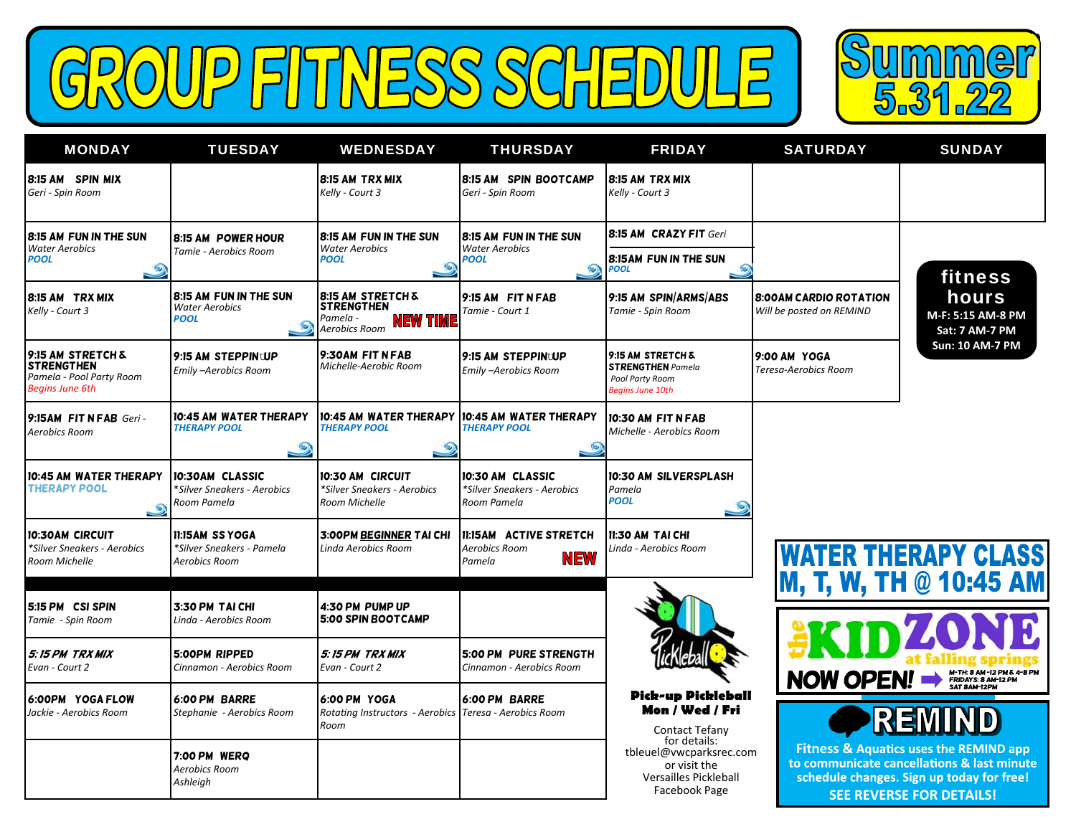GROUP FITNESS SCHEDULE



| <b>MONDAY</b>                                                                                | <b>TUESDAY</b>                                                       | <b>WEDNESDAY</b>                                                                                 | <b>THURSDAY</b>                                                           | <b>FRIDAY</b>                                                                                     | <b>SATURDAY</b>                                            | <b>SUNDAY</b>                                                                                                                                                                   |
|----------------------------------------------------------------------------------------------|----------------------------------------------------------------------|--------------------------------------------------------------------------------------------------|---------------------------------------------------------------------------|---------------------------------------------------------------------------------------------------|------------------------------------------------------------|---------------------------------------------------------------------------------------------------------------------------------------------------------------------------------|
| 8:15 AM SPIN MIX<br>Geri - Spin Room                                                         |                                                                      | 8:15 AM TRX MIX<br>Kelly - Court 3                                                               | 8:15 AM SPIN BOOTCAMP<br>Geri - Spin Room                                 | 8:15 AM TRX MIX<br>Kelly - Court 3                                                                |                                                            |                                                                                                                                                                                 |
| 8:15 AM FUN IN THE SUN<br><b>Water Aerobics</b><br><b>POOL</b><br>$\circ$                    | <b>8:15 AM POWER HOUR</b><br>Tamie - Aerobics Room                   | <b>8:15 AM FUN IN THE SUN</b><br><b>Water Aerobics</b><br><b>POOL</b>                            | 8:15 AM FUN IN THE SUN<br><b>Water Aerobics</b><br><b>POOL</b><br>$\circ$ | 8:15 AM CRAZY FIT Geri<br>8:15 AM FUN IN THE SUN<br><b>POOL</b>                                   |                                                            | fitness                                                                                                                                                                         |
| 8:15 AM TRX MIX<br>Kelly - Court 3                                                           | 8:15 AM FUN IN THE SUN<br><b>Water Aerobics</b><br><b>POOL</b>       | <b>8:15 AM STRETCH &amp;</b><br><b>STRENGTHEN</b><br>Pamela -<br><b>NEW TIM</b><br>Aerobics Room | 9:15 AM FIT N FAB<br>Tamie - Court 1                                      | 9:15 AM SPIN/ARMS/ABS<br>Tamie - Spin Room                                                        | <b>8:00 AM CARDIO ROTATION</b><br>Will be posted on REMIND | hours<br>M-F: 5:15 AM-8 PM<br><b>Sat: 7 AM-7 PM</b>                                                                                                                             |
| 9:15 AM STRETCH &<br><b>STRENGTHEN</b><br>Pamela - Pool Party Room<br><b>Begins June 6th</b> | 9:15 AM STEPPINUP<br>Emily -Aerobics Room                            | 9:30AM FIT N FAB<br>Michelle-Aerobic Room                                                        | 9:15 AM STEPPINUUP<br>Emily -Aerobics Room                                | 9:15 AM STRETCH &<br><b>STRENGTHEN</b> Pamela<br>Pool Party Room<br><b>Begins June 10th</b>       | 9:00 AM YOGA<br>Teresa-Aerobics Room                       | Sun: 10 AM-7 PM                                                                                                                                                                 |
| 9:15AM FIT N FAB Geri -<br>Aerobics Room                                                     | 10:45 AM WATER THERAPY<br><b>THERAPY POOL</b><br>$\circ$             | 10:45 AM WATER THERAPY<br><b>THERAPY POOL</b><br>۵                                               | 10:45 AM WATER THERAPY<br><b>THERAPY POOL</b>                             | 10:30 AM FIT N FAB<br>Michelle - Aerobics Room                                                    |                                                            |                                                                                                                                                                                 |
| 10:45 AM WATER THERAPY<br><b>THERAPY POOL</b><br>$\circ$                                     | 10:30AM CLASSIC<br>*Silver Sneakers - Aerobics<br>Room Pamela        | 10:30 AM CIRCUIT<br>*Silver Sneakers - Aerobics<br>Room Michelle                                 | 10:30 AM CLASSIC<br>*Silver Sneakers - Aerobics<br>Room Pamela            | 10:30 AM SILVERSPLASH<br>Pamela<br><b>POOL</b><br>$\circ$                                         |                                                            |                                                                                                                                                                                 |
| <b>10:30AM CIRCUIT</b><br>*Silver Sneakers - Aerobics<br><b>Room Michelle</b>                | <b>II:ISAM SS YOGA</b><br>*Silver Sneakers - Pamela<br>Aerobics Room | <b>3:00PM BEGINNER TAI CHI</b><br>Linda Aerobics Room                                            | 11:15AM ACTIVE STRETCH<br><b>Aerobics Room</b><br><b>NEW</b><br>Pamela    | 11:30 AM TAI CHI<br>Linda - Aerobics Room                                                         |                                                            | <b>WATER THERAPY CLASS</b><br>M, T, W, TH @ 10:45 AM                                                                                                                            |
| 5:15 PM CSI SPIN<br>Tamie - Spin Room                                                        | 3:30 PM TAICHI<br>Linda - Aerobics Room                              | 4:30 PM PUMP UP<br>5:00 SPIN BOOTCAMP                                                            |                                                                           |                                                                                                   |                                                            |                                                                                                                                                                                 |
| 5:15 PM TRX MIX<br>Evan - Court 2                                                            | 5:00PM RIPPED<br>Cinnamon - Aerobics Room                            | 5:15 PM TRX MIX<br>Evan - Court 2                                                                | 5:00 PM PURE STRENGTH<br>Cinnamon - Aerobics Room                         |                                                                                                   | <b>NOW OPEN!</b>                                           | M-TH: 8 AM -12 PM & 4-8 PM<br>FRIDAYS: 8 AM-12 PM<br>SAT 8AM-12 PM                                                                                                              |
| 6:00PM YOGA FLOW<br>Jackie - Aerobics Room                                                   | 6:00 PM BARRE<br>Stephanie - Aerobics Room                           | 6:00 PM YOGA<br>Rotating Instructors - Aerobics Teresa - Aerobics Room<br>Room                   | 6:00 PM BARRE                                                             | <b>Pick-up Pickleball</b><br>Mon / Wed / Fri<br>Contact Tefany                                    |                                                            | REMIL                                                                                                                                                                           |
|                                                                                              | 7:00 PM WERO<br>Aerobics Room<br>Ashleigh                            |                                                                                                  |                                                                           | for details:<br>tbleuel@vwcparksrec.com<br>or visit the<br>Versailles Pickleball<br>Facebook Page |                                                            | <b>Fitness &amp; Aquatics uses the REMIND app</b><br>to communicate cancellations & last minute<br>schedule changes. Sign up today for free!<br><b>SEE REVERSE FOR DETAILS!</b> |